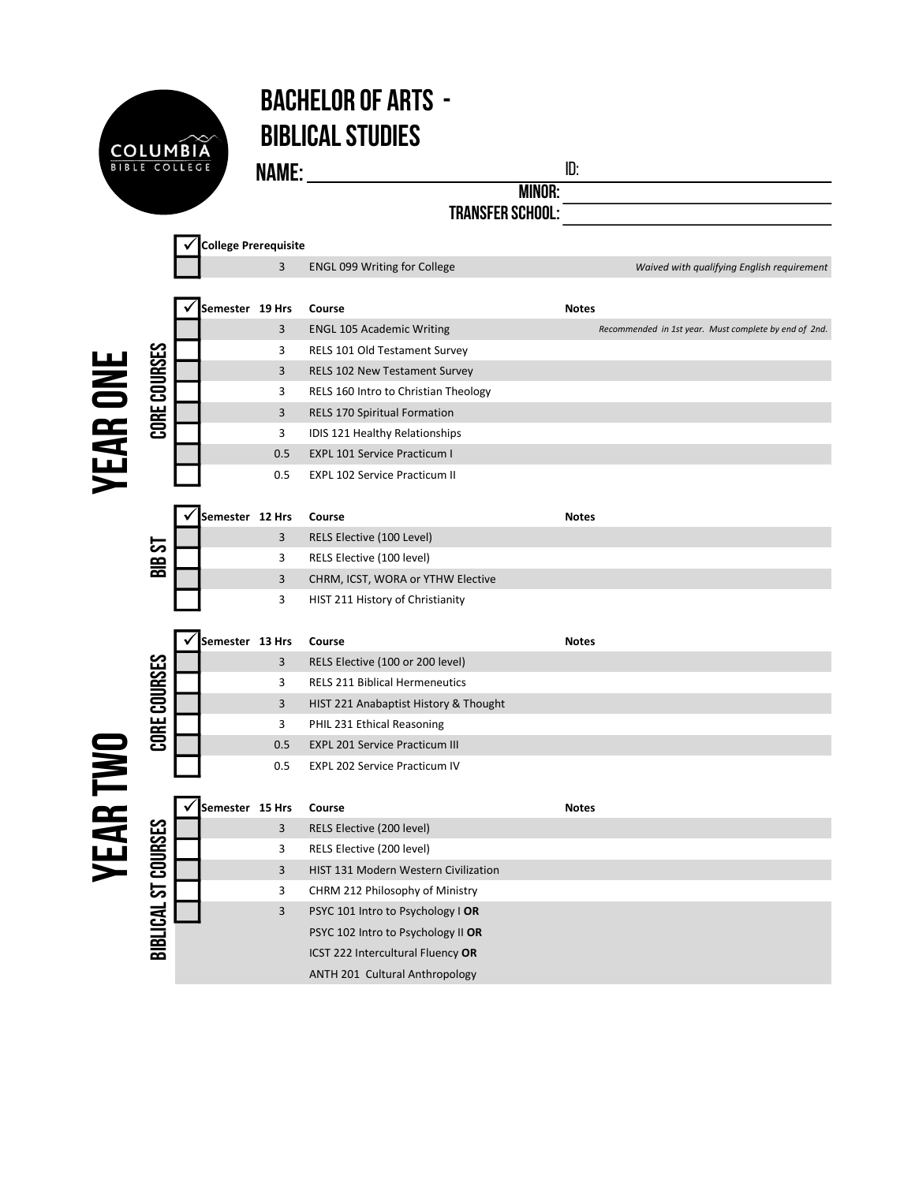

## Bachelor of Arts - Biblical Studies

**NAME:** <u>ID:</u>

MINOR: TRANSFER SCHOOL: WE ARREST AND TRANSFER SCHOOL:

|                 |                     | <b>College Prerequisite</b> |     |                                             |                                                       |  |  |  |  |
|-----------------|---------------------|-----------------------------|-----|---------------------------------------------|-------------------------------------------------------|--|--|--|--|
|                 |                     |                             | 3   | <b>ENGL 099 Writing for College</b>         | Waived with qualifying English requirement            |  |  |  |  |
|                 |                     |                             |     |                                             |                                                       |  |  |  |  |
|                 |                     | Semester 19 Hrs             |     | Course                                      | <b>Notes</b>                                          |  |  |  |  |
| <b>YEAR ONE</b> | CORE COURSES        |                             | 3   | <b>ENGL 105 Academic Writing</b>            | Recommended in 1st year. Must complete by end of 2nd. |  |  |  |  |
|                 |                     |                             | 3   | <b>RELS 101 Old Testament Survey</b>        |                                                       |  |  |  |  |
|                 |                     |                             | 3   | <b>RELS 102 New Testament Survey</b>        |                                                       |  |  |  |  |
|                 |                     |                             | 3   | RELS 160 Intro to Christian Theology        |                                                       |  |  |  |  |
|                 |                     |                             | 3   | <b>RELS 170 Spiritual Formation</b>         |                                                       |  |  |  |  |
|                 |                     |                             | 3   | IDIS 121 Healthy Relationships              |                                                       |  |  |  |  |
|                 |                     |                             | 0.5 | <b>EXPL 101 Service Practicum I</b>         |                                                       |  |  |  |  |
|                 |                     |                             | 0.5 | <b>EXPL 102 Service Practicum II</b>        |                                                       |  |  |  |  |
|                 |                     |                             |     |                                             |                                                       |  |  |  |  |
|                 | <b>1S 918</b>       | Semester 12 Hrs             |     | Course                                      | <b>Notes</b>                                          |  |  |  |  |
|                 |                     |                             | 3   | RELS Elective (100 Level)                   |                                                       |  |  |  |  |
|                 |                     |                             | 3   | RELS Elective (100 level)                   |                                                       |  |  |  |  |
|                 |                     |                             | 3   | CHRM, ICST, WORA or YTHW Elective           |                                                       |  |  |  |  |
|                 |                     |                             | 3   | HIST 211 History of Christianity            |                                                       |  |  |  |  |
|                 |                     |                             |     |                                             |                                                       |  |  |  |  |
|                 | CORE COURSES        | Semester 13 Hrs             |     | Course                                      | <b>Notes</b>                                          |  |  |  |  |
|                 |                     |                             | 3   | RELS Elective (100 or 200 level)            |                                                       |  |  |  |  |
|                 |                     |                             | 3   | <b>RELS 211 Biblical Hermeneutics</b>       |                                                       |  |  |  |  |
|                 |                     |                             | 3   | HIST 221 Anabaptist History & Thought       |                                                       |  |  |  |  |
|                 |                     |                             | 3   | PHIL 231 Ethical Reasoning                  |                                                       |  |  |  |  |
|                 |                     |                             | 0.5 | <b>EXPL 201 Service Practicum III</b>       |                                                       |  |  |  |  |
|                 |                     |                             | 0.5 | <b>EXPL 202 Service Practicum IV</b>        |                                                       |  |  |  |  |
|                 |                     |                             |     |                                             |                                                       |  |  |  |  |
| <b>YEAR TWO</b> | BIBLICAL ST COURSES | Semester 15 Hrs             |     | Course                                      | <b>Notes</b>                                          |  |  |  |  |
|                 |                     |                             | 3   | RELS Elective (200 level)                   |                                                       |  |  |  |  |
|                 |                     |                             | 3   | RELS Elective (200 level)                   |                                                       |  |  |  |  |
|                 |                     |                             | 3   | <b>HIST 131 Modern Western Civilization</b> |                                                       |  |  |  |  |
|                 |                     |                             | 3   | CHRM 212 Philosophy of Ministry             |                                                       |  |  |  |  |
|                 |                     |                             | 3   | PSYC 101 Intro to Psychology I OR           |                                                       |  |  |  |  |
|                 |                     |                             |     | PSYC 102 Intro to Psychology II OR          |                                                       |  |  |  |  |
|                 |                     |                             |     | ICST 222 Intercultural Fluency OR           |                                                       |  |  |  |  |
|                 |                     |                             |     | <b>ANTH 201 Cultural Anthropology</b>       |                                                       |  |  |  |  |